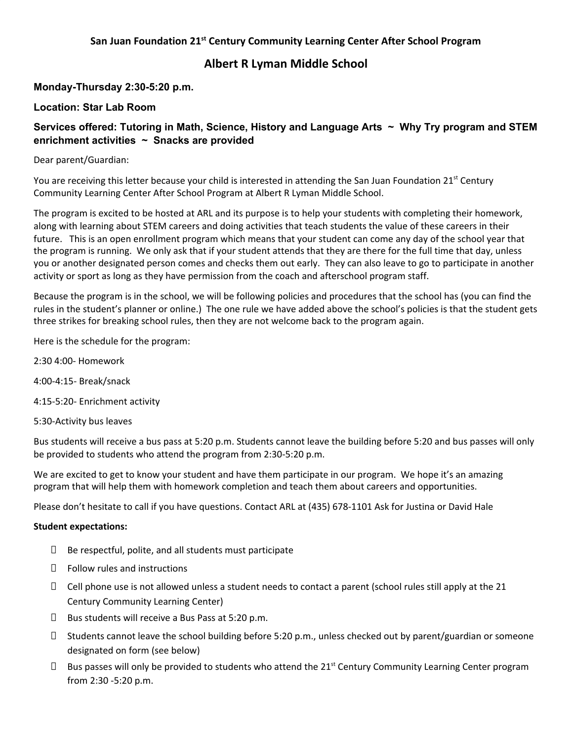## **San Juan Foundation 21st Century Community Learning Center After School Program**

## **Albert R Lyman Middle School**

### **Monday-Thursday 2:30-5:20 p.m.**

### **Location: Star Lab Room**

### **Services offered: Tutoring in Math, Science, History and Language Arts ~ Why Try program and STEM enrichment activities ~ Snacks are provided**

#### Dear parent/Guardian:

You are receiving this letter because your child is interested in attending the San Juan Foundation 21<sup>st</sup> Century Community Learning Center After School Program at Albert R Lyman Middle School.

The program is excited to be hosted at ARL and its purpose is to help your students with completing their homework, along with learning about STEM careers and doing activities that teach students the value of these careers in their future. This is an open enrollment program which means that your student can come any day of the school year that the program is running. We only ask that if your student attends that they are there for the full time that day, unless you or another designated person comes and checks them out early. They can also leave to go to participate in another activity or sport as long as they have permission from the coach and afterschool program staff.

Because the program is in the school, we will be following policies and procedures that the school has (you can find the rules in the student's planner or online.) The one rule we have added above the school's policies is that the student gets three strikes for breaking school rules, then they are not welcome back to the program again.

Here is the schedule for the program:

- 2:30 4:00- Homework
- 4:00-4:15- Break/snack
- 4:15-5:20- Enrichment activity
- 5:30-Activity bus leaves

Bus students will receive a bus pass at 5:20 p.m. Students cannot leave the building before 5:20 and bus passes will only be provided to students who attend the program from 2:30-5:20 p.m.

We are excited to get to know your student and have them participate in our program. We hope it's an amazing program that will help them with homework completion and teach them about careers and opportunities.

Please don't hesitate to call if you have questions. Contact ARL at (435) 678-1101 Ask for Justina or David Hale

#### **Student expectations:**

- $\square$  Be respectful, polite, and all students must participate
- $\Pi$  Follow rules and instructions
- $\Box$  Cell phone use is not allowed unless a student needs to contact a parent (school rules still apply at the 21 Century Community Learning Center)
- $\square$  Bus students will receive a Bus Pass at 5:20 p.m.
- $\square$  Students cannot leave the school building before 5:20 p.m., unless checked out by parent/guardian or someone designated on form (see below)
- $\Box$  Bus passes will only be provided to students who attend the 21<sup>st</sup> Century Community Learning Center program from 2:30 -5:20 p.m.